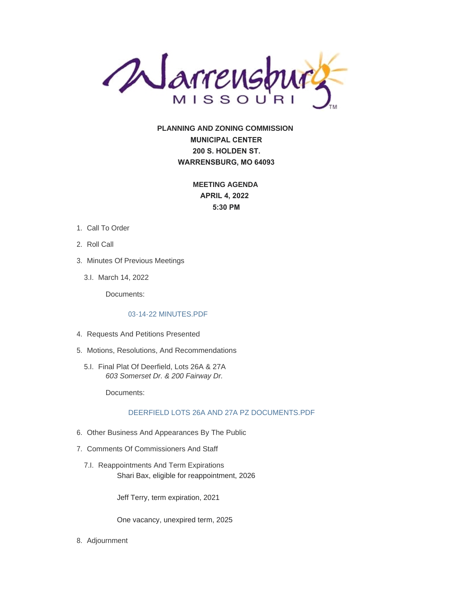

**PLANNING AND ZONING COMMISSION MUNICIPAL CENTER 200 S. HOLDEN ST. WARRENSBURG, MO 64093**

> **MEETING AGENDA APRIL 4, 2022 5:30 PM**

- 1. Call To Order
- 2. Roll Call
- 3. Minutes Of Previous Meetings
	- 3.l. March 14, 2022

Documents:

## [03-14-22 MINUTES.PDF](https://www.warrensburg-mo.com/AgendaCenter/ViewFile/Item/6036?fileID=10915)

- 4. Requests And Petitions Presented
- 5. Motions, Resolutions, And Recommendations
	- Final Plat Of Deerfield, Lots 26A & 27A 5.I. *603 Somerset Dr. & 200 Fairway Dr.*

Documents:

## [DEERFIELD LOTS 26A AND 27A PZ DOCUMENTS.PDF](https://www.warrensburg-mo.com/AgendaCenter/ViewFile/Item/6034?fileID=10916)

- 6. Other Business And Appearances By The Public
- 7. Comments Of Commissioners And Staff
	- 7.I. Reappointments And Term Expirations Shari Bax, eligible for reappointment, 2026

Jeff Terry, term expiration, 2021

One vacancy, unexpired term, 2025

8. Adjournment